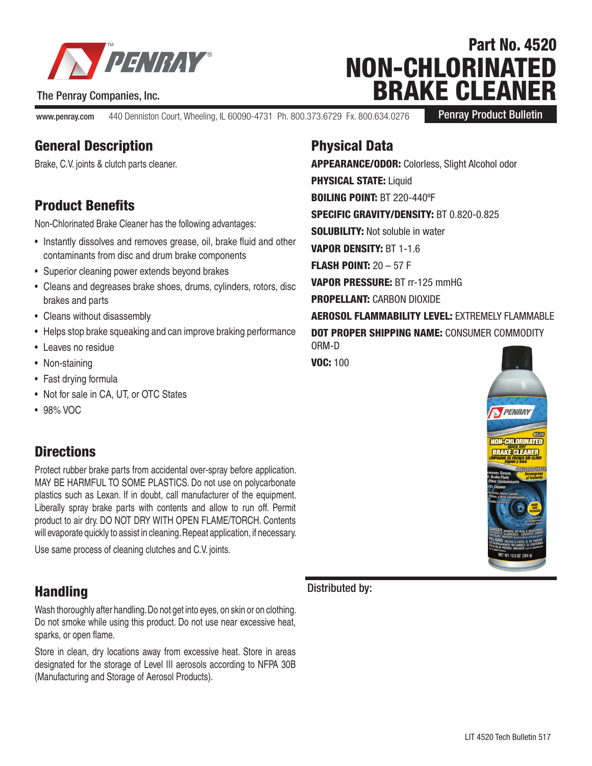

#### The Penray Companies, Inc.

www.penray.com 440 Denniston Court, Wheeling, IL 60090-4731 Ph. 800.373.6729 Fx. 800.634.0276

Penray Product Bulletin

Part No. 4520

NON-CHLORINATED

BRAKE CLEANER

# General Description

Brake, C.V. joints & clutch parts cleaner.

## Product Benefits

Non-Chlorinated Brake Cleaner has the following advantages:

- Instantly dissolves and removes grease, oil, brake fluid and other contaminants from disc and drum brake components
- Superior cleaning power extends beyond brakes
- Cleans and degreases brake shoes, drums, cylinders, rotors, disc brakes and parts
- Cleans without disassembly
- Helps stop brake squeaking and can improve braking performance
- Leaves no residue
- Non-staining
- Fast drying formula
- Not for sale in CA, UT, or OTC States
- 98% VOC

## **Directions**

Protect rubber brake parts from accidental over-spray before application. MAY BE HARMFUL TO SOME PLASTICS. Do not use on polycarbonate plastics such as Lexan. If in doubt, call manufacturer of the equipment. Liberally spray brake parts with contents and allow to run off. Permit product to air dry. DO NOT DRY WITH OPEN FLAME/TORCH. Contents will evaporate quickly to assist in cleaning. Repeat application, if necessary.

Use same process of cleaning clutches and C.V. joints.

## Handling

Wash thoroughly after handling. Do not get into eyes, on skin or on clothing. Do not smoke while using this product. Do not use near excessive heat, sparks, or open flame.

Store in clean, dry locations away from excessive heat. Store in areas designated for the storage of Level III aerosols according to NFPA 30B (Manufacturing and Storage of Aerosol Products).

## Physical Data

APPEARANCE/ODOR: Colorless, Slight Alcohol odor **PHYSICAL STATE: Liquid** BOILING POINT: BT 220-440ºF SPECIFIC GRAVITY/DENSITY: BT 0.820-0.825 SOLUBILITY: Not soluble in water VAPOR DENSITY: BT 1-1.6 FLASH POINT: 20 – 57 F VAPOR PRESSURE: BT rr-125 mmHG PROPELLANT: CARBON DIOXIDE AEROSOL FLAMMABILITY LEVEL: EXTREMELY FLAMMABLE DOT PROPER SHIPPING NAME: CONSUMER COMMODITY ORM-D

VOC: 100



#### Distributed by: